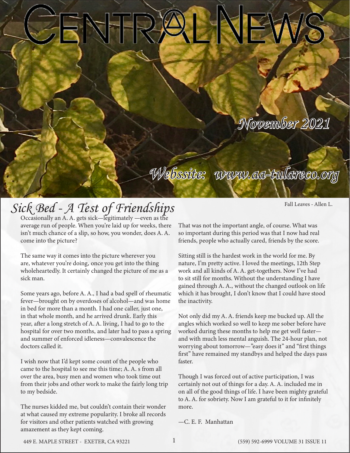## *November 2021*

## *Sick Bed - A Test of Friendships*

Occasionally an A. A. gets sick—legitimately —even as the average run of people. When you're laid up for weeks, there isn't much chance of a slip, so how, you wonder, does A. A. come into the picture?

The same way it comes into the picture wherever you are, whatever you're doing, once you get into the thing wholeheartedly. It certainly changed the picture of me as a sick man.

Some years ago, before A. A., I had a bad spell of rheumatic fever—brought on by overdoses of alcohol—and was home in bed for more than a month. I had one caller, just one, in that whole month, and he arrived drunk. Early this year, after a long stretch of A. A. living, I had to go to the hospital for over two months, and later had to pass a spring and summer of enforced idleness—convalescence the doctors called it.

I wish now that I'd kept some count of the people who came to the hospital to see me this time; A. A. s from all over the area, busy men and women who took time out from their jobs and other work to make the fairly long trip to my bedside.

The nurses kidded me, but couldn't contain their wonder at what caused my extreme popularity. I broke all records for visitors and other patients watched with growing amazement as they kept coming.

That was not the important angle, of course. What was so important during this period was that I now had real friends, people who actually cared, friends by the score.

*Webssite: www.aa-tulareco.org*

Sitting still is the hardest work in the world for me. By nature, I'm pretty active. I loved the meetings, 12th Step work and all kinds of A. A. get-togethers. Now I've had to sit still for months. Without the understanding I have gained through A. A., without the changed outlook on life which it has brought, I don't know that I could have stood the inactivity.

Not only did my A. A. friends keep me bucked up. All the angles which worked so well to keep me sober before have worked during these months to help me get well faster and with much less mental anguish. The 24-hour plan, not worrying about tomorrow—"easy does it" and "first things first" have remained my standbys and helped the days pass faster.

Though I was forced out of active participation, I was certainly not out of things for a day. A. A. included me in on all of the good things of life. I have been mighty grateful to A. A. for sobriety. Now I am grateful to it for infinitely more.

—C. E. F. Manhattan

Fall Leaves - Allen L.

449 E. MAPLE STREET - EXETER, CA 93221 (559) 592-6999 VOLUME 31 ISSUE 11 1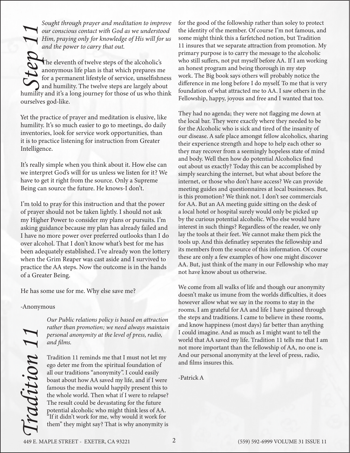*Sought through prayer and meditation to improve our conscious contact with God as we understood Him, praying only for knowledge of His will for us and the power to carry that out.*

The eleventh of twelve steps of the alcoholic's anonymous life plan is that which prepares me for a permanent lifestyle of service, unselfishness and humility. The twelve steps are largely about Furn, praying only for knowledge of His will for us and the power to carry that out.<br>The eleventh of twelve steps of the alcoholic's anonymous life plan is that which prepares me for a permanent lifestyle of service, unsel ourselves god-like.

Yet the practice of prayer and meditation is elusive, like humility. It's so much easier to go to meetings, do daily inventories, look for service work opportunities, than it is to practice listening for instruction from Greater Intelligence.

It's really simple when you think about it. How else can we interpret God's will for us unless we listen for it? We have to get it right from the source. Only a Supreme Being can source the future. He knows-I don't.

I'm told to pray for this instruction and that the power of prayer should not be taken lightly. I should not ask my Higher Power to consider my plans or pursuits. I'm asking guidance because my plan has already failed and I have no more power over preferred outlooks than I do over alcohol. That I don't know what's best for me has been adequately established. I've already won the lottery when the Grim Reaper was cast aside and I survived to practice the AA steps. Now the outcome is in the hands of a Greater Being.

He has some use for me. Why else save me?

-Anonymous

*Our Public relations policy is based on attraction rather than promotion; we need always maintain personal anonymity at the level of press, radio, and films.*

Friesonal anonymity at the level of press, radio,<br>
and films.<br>
and films.<br>
and films are that I must not let thy<br>
and that AA saved my life, Tradition 11 tell sme that I must<br>
and the whole understand anonymity at the leve Tradition 11 reminds me that I must not let my ego deter me from the spiritual foundation of all our traditions "anonymity". I could easily boast about how AA saved my life, and if I were famous the media would happily present this to the whole world. Then what if I were to relapse? The result could be devastating for the future potential alcoholic who might think less of AA. "If it didn't work for me, why would it work for them" they might say? That is why anonymity is

for the good of the followship rather than soley to protect the identity of the member. Of course I'm not famous, and some might think this a farfetched notion, but Tradition 11 insures that we separate attraction from promotion. My primary purpose is to carry the message to the alcoholic who still suffers, not put myself before AA. If I am working an honest program and being thorough in my step work. The Big book says others will probably notice the difference in me long before I do myself. To me that is very foundation of what attracted me to AA. I saw others in the Fellowship, happy, joyous and free and I wanted that too.

They had no agenda; they were not flagging me down at the local bar. They were exactly where they needed to be for the Alcoholic who is sick and tired of the insanity of our disease. A safe place amongst fellow alcoholics, sharing their experience strength and hope to help each other so they may recover from a seemingly hopeless state of mind and body. Well then how do potential Alcoholics find out about us exactly? Today this can be accomplished by simply searching the internet, but what about before the internet, or those who don't have access? We can provide meeting guides and questionnaires at local businesses. But, is this promotion? We think not. I don't see commercials for AA. But an AA meeting guide sitting on the desk of a local hotel or hospital surely would only be picked up by the curious potential alcoholic. Who else would have interest in such things? Regardless of the reader, we only lay the tools at their feet. We cannot make them pick the tools up. And this definatley seperates the fellowship and its members from the source of this information. Of course these are only a few examples of how one might discover AA. But, just think of the many in our Fellowship who may not have know about us otherwise.

We come from all walks of life and though our anonymity doesn't make us imune from the worlds difficulties, it does however allow what we say in the rooms to stay in the rooms. I am grateful for AA and life I have gained through the steps and traditions. I came to believe in these rooms, and know happiness (most days) far better than anything I could imagine. And as much as I might want to tell the world that AA saved my life. Tradition 11 tells me that I am not more important than the fellowship of AA, no one is. And our personal anonymity at the level of press, radio, and films insures this.

-Patrick A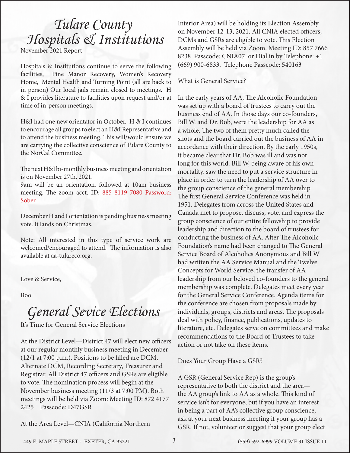## *Tulare County Hospitals & Institutions*

November 2021 Report

Hospitals & Institutions continue to serve the following facilities, Pine Manor Recovery, Women's Recovery Home, Mental Health and Turning Point (all are back to in person) Our local jails remain closed to meetings. H & I provides literature to facilities upon request and/or at time of in-person meetings.

H&I had one new orientator in October. H & I continues to encourage all groups to elect an H&I Representative and to attend the business meeting. This will/would ensure we are carrying the collective conscience of Tulare County to the NorCal Committee.

The next H&I bi-monthly business meeting and orientation is on November 27th, 2021.

9am will be an orientation, followed at 10am business meeting. The zoom acct. ID: 885 8119 7080 Password: Sober.

December H and I orientation is pending business meeting vote. It lands on Christmas.

Note: All interested in this type of service work are welcomed/encouraged to attend. The information is also available at aa-tulareco.org.

Love & Service,

Boo

## *General Sevice Elections*

It's Time for General Service Elections

At the District Level—District 47 will elect new officers at our regular monthly business meeting in December (12/1 at 7:00 p.m.). Positions to be filled are DCM, Alternate DCM, Recording Secretary, Treasurer and Registrar. All District 47 officers and GSRs are eligible to vote. The nomination process will begin at the November business meeting (11/3 at 7:00 PM). Both meetings will be held via Zoom: Meeting ID: 872 4177 2425 Passcode: D47GSR

At the Area Level—CNIA (California Northern

Interior Area) will be holding its Election Assembly on November 12-13, 2021. All CNIA elected officers, DCMs and GSRs are eligible to vote. This Election Assembly will be held via Zoom. Meeting ID: 857 7666 8238 Passcode: CNIA07 or Dial in by Telephone: +1 (669) 900-6833. Telephone Passcode: 540163

### What is General Service?

In the early years of AA, The Alcoholic Foundation was set up with a board of trustees to carry out the business end of AA. In those days our co-founders, Bill W. and Dr. Bob, were the leadership for AA as a whole. The two of them pretty much called the shots and the board carried out the business of AA in accordance with their direction. By the early 1950s, it became clear that Dr. Bob was ill and was not long for this world. Bill W, being aware of his own mortality, saw the need to put a service structure in place in order to turn the leadership of AA over to the group conscience of the general membership. The first General Service Conference was held in 1951. Delegates from across the United States and Canada met to propose, discuss, vote, and express the group conscience of our entire fellowship to provide leadership and direction to the board of trustees for conducting the business of AA. After The Alcoholic Foundation's name had been changed to The General Service Board of Alcoholics Anonymous and Bill W had written the AA Service Manual and the Twelve Concepts for World Service, the transfer of AA leadership from our beloved co-founders to the general membership was complete. Delegates meet every year for the General Service Conference. Agenda items for the conference are chosen from proposals made by individuals, groups, districts and areas. The proposals deal with policy, finance, publications, updates to literature, etc. Delegates serve on committees and make recommendations to the Board of Trustees to take action or not take on these items.

Does Your Group Have a GSR?

A GSR (General Service Rep) is the group's representative to both the district and the area the AA group's link to AA as a whole. This kind of service isn't for everyone, but if you have an interest in being a part of AA's collective group conscience, ask at your next business meeting if your group has a GSR. If not, volunteer or suggest that your group elect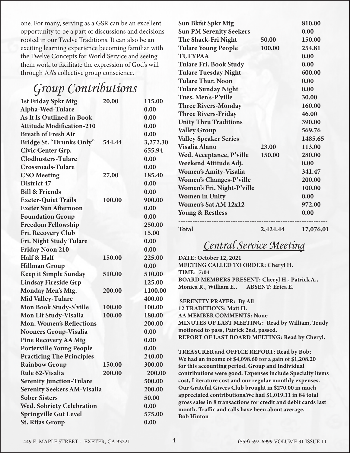one. For many, serving as a GSR can be an excellent opportunity to be a part of discussions and decisions rooted in our Twelve Traditions. It can also be an exciting learning experience becoming familiar with the Twelve Concepts for World Service and seeing them work to facilitate the expression of God's will through AA's collective group conscience.

### *Group Contributions*

| <b>1st Friday Spkr Mtg</b>         | 20.00  | 115.00   |
|------------------------------------|--------|----------|
| Alpha-Wed-Tulare                   |        | 0.00     |
| <b>As It Is Outlined in Book</b>   |        | 0.00     |
| <b>Attitude Modification-210</b>   |        | 0.00     |
| <b>Breath of Fresh Air</b>         |        | 0.00     |
| Bridge St. "Drunks Only"           | 544.44 | 3,272.30 |
| Civic Center Grp.                  |        | 655.94   |
| <b>Clodbusters-Tulare</b>          |        | 0.00     |
| <b>Crossroads-Tulare</b>           |        | 0.00     |
| <b>CSO</b> Meeting                 | 27.00  | 185.40   |
| District 47                        |        | 0.00     |
| <b>Bill &amp; Friends</b>          |        | 0.00     |
| <b>Exeter-Quiet Trails</b>         | 100.00 | 900.00   |
| <b>Exeter Sun Afternoon</b>        |        | 0.00     |
| <b>Foundation Group</b>            |        | 0.00     |
| <b>Freedom Fellowship</b>          |        | 250.00   |
| Fri. Recovery Club                 |        | 15.00    |
| Fri. Night Study Tulare            |        | 0.00     |
| <b>Friday Noon 210</b>             |        | 0.00     |
| Half & Half                        | 150.00 | 225.00   |
| <b>Hillman Group</b>               |        | 0.00     |
| <b>Keep it Simple Sunday</b>       | 510.00 | 510.00   |
| <b>Lindsay Fireside Grp</b>        |        | 125.00   |
| Monday Men's Mtg.                  | 200.00 | 1100.00  |
| <b>Mid Valley-Tulare</b>           |        | 400.00   |
| Mon Book Study-S'ville             | 100.00 | 100.00   |
| Mon Lit Study-Visalia              | 100.00 | 180.00   |
| <b>Mon. Women's Reflections</b>    |        | 200.00   |
| <b>Nooners Group-Visalia</b>       |        | 0.00     |
| <b>Pine Recovery AA Mtg</b>        |        | 0.00     |
| <b>Porterville Young People</b>    |        | 0.00     |
| <b>Practicing The Principles</b>   |        | 240.00   |
| <b>Rainbow Group</b>               | 150.00 | 300.00   |
| Rule 62-Visalia                    | 200.00 | 200.00   |
| <b>Serenity Junction-Tulare</b>    |        | 500.00   |
| <b>Serenity Seekers AM-Visalia</b> |        | 200.00   |
| <b>Sober Sisters</b>               |        | 50.00    |
| <b>Wed. Sobriety Celebration</b>   |        | 0.00     |
| <b>Springville Gut Level</b>       |        | 575.00   |
| <b>St. Ritas Group</b>             |        | 0.00     |

| <b>Sun Bkfst Spkr Mtg</b>      |          | 810.00    |
|--------------------------------|----------|-----------|
| <b>Sun PM Serenity Seekers</b> |          | 0.00      |
| The Shack-Fri Night            | 50.00    | 150.00    |
| <b>Tulare Young People</b>     | 100.00   | 254.81    |
| <b>TUFYPAA</b>                 |          | 0.00      |
| <b>Tulare Fri. Book Study</b>  |          | 0.00      |
| <b>Tulare Tuesday Night</b>    |          | 600.00    |
| <b>Tulare Thur, Noon</b>       |          | 0.00      |
| <b>Tulare Sunday Night</b>     |          | 0.00      |
| Tues. Men's-P'ville            |          | 30.00     |
| <b>Three Rivers-Monday</b>     |          | 160.00    |
| <b>Three Rivers-Friday</b>     |          | 46.00     |
| <b>Unity Thru Traditions</b>   |          | 390.00    |
| <b>Valley Group</b>            |          | 569.76    |
| <b>Valley Speaker Series</b>   |          | 1485.65   |
| <b>Visalia Alano</b>           | 23.00    | 113.00    |
| Wed. Acceptance, P'ville       | 150.00   | 280.00    |
| Weekend Attitude Adj.          |          | 0.00      |
| <b>Women's Amity-Visalia</b>   |          | 341.47    |
| <b>Women's Changes-P'ville</b> |          | 200.00    |
| Women's Fri. Night-P'ville     |          | 100.00    |
| <b>Women in Unity</b>          |          | 0.00      |
| Women's Sat AM 12x12           |          | 972.00    |
| <b>Young &amp; Restless</b>    |          | 0.00      |
| <b>Total</b>                   | 2,424.44 | 17,076.01 |

### *Central Service Meeting*

DATE: October 12, 2021 MEETING CALLED TO ORDER: Cheryl H. TIME: 7:04 BOARD MEMBERS PRESENT: Cheryl H., Patrick A., Monica R., William E., ABSENT: Erica E.

 SERENITY PRAYER: By All 12 TRADITIONS: Matt H. AA MEMBER COMMENTS: None MINUTES OF LAST MEETING: Read by William, Trudy motioned to pass, Patrick 2nd, passed. REPORT OF LAST BOARD MEETING: Read by Cheryl.

TREASURER and OFFICE REPORT: Read by Bob; We had an income of \$4,098.60 for a gain of \$1,208.20 for this accounting period. Group and Individual contributions were good. Expenses include Specialty items cost, Literature cost and our regular monthly expenses. Our Grateful Givers Club brought in \$270.00 in much appreciated contributions.We had \$1,019.11 in 84 total gross sales in 8 transactions for credit and debit cards last month. Traffic and calls have been about average. Bob Hinton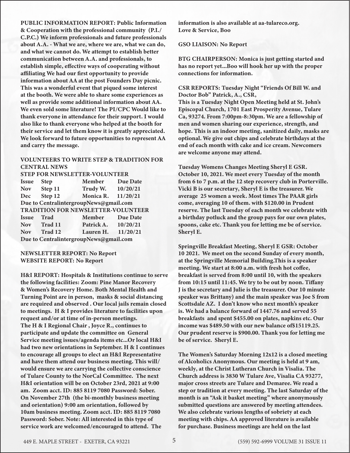PUBLIC INFORMATION REPORT: Public Information & Cooperation with the professional community (P.I./ C.P.C.) We inform professionals and future professionals about A.A. - What we are, where we are, what we can do, and what we cannot do. We attempt to establish better communication between A.A. and professionals, to establish simple, effective ways of cooperating without affiliating We had our first opportunity to provide information about AA at the post Founders Day picnic. This was a wonderful event that piqued some interest at the booth. We were able to share some experiences as well as provide some additional information about AA. We even sold some literature! The PI/CPC Would like to thank everyone in attendance for their support. I would also like to thank everyone who helped at the booth for their service and let them know it is greatly appreciated. We look forward to future opportunities to represent AA and carry the message.

### VOLUNTEERS TO WRITE STEP & TRADITION FOR CENTRAL NEWS

|              | <b>STEP FOR NEWSLETTER-VOLUNTEER</b>      |                     |          |
|--------------|-------------------------------------------|---------------------|----------|
| <b>Issue</b> | <b>Step</b>                               | Member              | Due Date |
| <b>Nov</b>   | Step 11                                   | Trudy W. 10/20/21   |          |
| Dec          | Step 12                                   | Monica R.           | 11/20/21 |
|              | Due to CentralintergroupNews@gmail.com    |                     |          |
|              | <b>TRADITION FOR NEWSLETTER-VOLUNTEER</b> |                     |          |
| <b>Issue</b> | <b>Trad</b>                               | Member Due Date     |          |
|              | Nov Trad 11                               | Patrick A. 10/20/21 |          |
| <b>Nov</b>   | Trad 12                                   | Lauren H.           | 11/20/21 |
|              | Due to CentralintergroupNews@gmail.com    |                     |          |

#### NEWSLETTER REPORT: No Report WEBSITE REPORT: No Report

H&I REPORT: Hospitals & Institutions continue to serve the following facilities: Zoom: Pine Manor Recovery & Women's Recovery Home. Both Mental Health and Turning Point are in person, masks & social distancing are required and observed . Our local jails remain closed to meetings. H & I provides literature to facilities upon request and/or at time of in-person meetings. The H & I Regional Chair , Joyce R., continues to participate and update the committee on General Service meeting issues/agenda items etc...Or local H&I had two new orientations in September. H & I continues to encourage all groups to elect an H&I Representative and have them attend our business meeting. This will/ would ensure we are carrying the collective conscience of Tulare County to the NorCal Committee. The next H&I orientation will be on October 23rd, 2021 at 9:00 am. Zoom acct. ID: 885 8119 7080 Password: Sober. On November 27th (the bi-monthly business meeting and orientation) 9:00 am orientation, followed by 10am business meeting. Zoom acct. ID: 885 8119 7080 Password: Sober. Note: All interested in this type of service work are welcomed/encouraged to attend. The

information is also available at aa-tulareco.org. Love & Service, Boo

#### GSO LIAISON: No Report

BTG CHAIRPERSON: Monica is just getting started and has no report yet...Boo will hook her up with the proper connections for information.

CSR REPORTS: Tuesday Night "Friends Of Bill W. and Doctor Bob" Patrick, A., CSR,

This is a Tuesday Night Open Meeting held at St. John's Episcopal Church, 1701 East Prosperity Avenue, Tulare Ca, 93274. From 7:00pm-8:30pm. We are a fellowship of men and women sharing our experience, strength, and hope. This is an indoor meeting, sanitized daily, masks are optional. We give out chips and celebrate birthdays at the end of each month with cake and ice cream. Newcomers are welcome anyone may attend.

Tuesday Womens Changes Meeting Sheryl E GSR. October 10, 2021. We meet every Tuesday of the month from 6 to 7 p.m. at the 12 step recovery club in Porterville. Vicki B is our secretary, Sheryl E is the treasurer. We average 25 women a week. Most times The PAAR girls come, averaging 10 of them. with \$120.00 in Prudent reserve. The last Tuesday of each month we celebrate with a birthday potluck and the group pays for our own plates, spoons, cake etc. Thank you for letting me be of service. Sheryl E.

Springville Breakfast Meeting, Sheryl E GSR: October 10 2021. We meet on the second Sunday of every month, at the Springville Memorial Building.This is a speaker meeting. We start at 8:00 a.m. with fresh hot coffee, breakfast is served from 8:00 until 10, with the speakers from 10:15 until 11:45. We try to be out by noon. Tiffany J is the secretary and Julie is the treasurer. Our 10 minute speaker was Brittany) and the main speaker was Joe S from Scottsdale AZ. I don't know who next month's speaker is. We had a balance forward of 1447.76 and served 55 breakfasts and spent \$455.00 on plates, napkins etc. Our income was \$489.50 with our new balance of\$15119.25. Our prudent reserve is \$900.00. Thank you for letting me be of service. Sheryl E.

The Women's Saturday Morning 12x12 is a closed meeting of Alcoholics Anonymous. Our meeting is held at 9 am, weekly, at the Christ Lutheran Church in Visalia. The Church address is 3830 W Tulare Ave, Visalia CA 93277, major cross streets are Tulare and Demaree. We read a step or tradition at every meeting. The last Saturday of the month is an "Ask it basket meeting" where anonymously submitted questions are answered by meeting attendees. We also celebrate various lengths of sobriety at each meeting with chips. AA approved literature is available for purchase. Business meetings are held on the last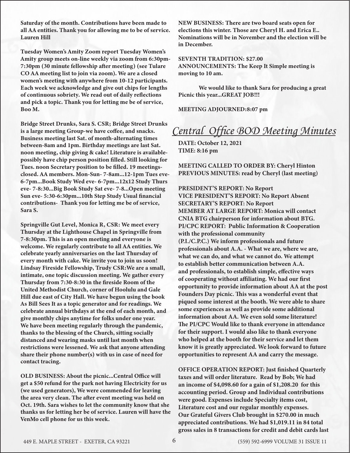Saturday of the month. Contributions have been made to all AA entities. Thank you for allowing me to be of service. Lauren Hill

Tuesday Women's Amity Zoom report Tuesday Women's Amity group meets on-line weekly via zoom from 6:30pm-7:30pm (30 minute fellowship after meeting) (see Tulare CO AA meeting list to join via zoom). We are a closed women's meeting with anywhere from 10-12 participants. Each week we acknowledge and give out chips for lengths of continuous sobriety. We read out of daily reflections and pick a topic. Thank you for letting me be of service, Boo M.

Bridge Street Drunks, Sara S. CSR; Bridge Street Drunks is a large meeting Group-we have coffee, and snacks. Business meeting last Sat. of month-alternating times between-8am and 1pm. Birthday meetings are last Sat. noon meeting, chip giving & cake! Literature is availablepossibly have chip person position filled. Still looking for Tues. noon Secretary position to be filled. 19 meetingsclosed. AA members. Mon-Sun- 7-8am...12-1pm Tues eve-6-7pm...Book Study Wed eve- 6-7pm...12x12 Study Thurs eve- 7-8:30...Big Book Study Sat eve- 7-8...Open meeting Sun eve- 5:30-6:30pm...10th Step Study Usual financial contributions- Thank you for letting me be of service, Sara S.

Springville Gut Level, Monica R, CSR: We meet every Thursday at the Lighthouse Chapel in Springville from 7-8:30pm. This is an open meeting and everyone is welcome. We regularly contribute to all AA entities. We celebrate yearly anniversaries on the last Thursday of every month with cake. We invite you to join us soon! Lindsay Fireside Fellowship, Trudy CSR:We are a small, intimate, one topic discussion meeting. We gather every Thursday from 7:30-8:30 in the fireside Room of the United Methodist Church, corner of Hoolulu and Gale Hill due east of City Hall. We have begun using the book As Bill Sees It as a topic generator and for readings. We celebrate annual birthdays at the end of each month, and give monthly chips anytime for folks under one year. We have been meeting regularly through the pandemic, thanks to the blessing of the Church, sitting socially distanced and wearing masks until last month when restrictions were lessened. We ask that anyone attending share their phone number(s) with us in case of need for contact tracing.

OLD BUSINESS: About the picnic...Central Office will get a \$50 refund for the park not having Electricity for us (we used generators), We were commended for leaving the area very clean. The after event meeting was held on Oct. 19th. Sara wishes to let the community know that she thanks us for letting her be of service. Lauren will have the VenMo cell phone for us this week.

NEW BUSINESS: There are two board seats open for elections this winter. Those are Cheryl H. and Erica E.. Nominations will be in November and the election will be in December.

SEVENTH TRADITION: \$27.00 ANNOUNCEMENTS: The Keep It Simple meeting is moving to 10 am.

We would like to thank Sara for producing a great Picnic this year...GREAT JOB!!!

MEETING ADJOURNED:8:07 pm

### *Central Office BOD Meeting Minutes*

**DATE: October 12, 2021 TIME: 8:16 pm**

**MEETING CALLED TO ORDER BY: Cheryl Hinton PREVIOUS MINUTES: read by Cheryl (last meeting)**

**PRESIDENT'S REPORT: No Report VICE PRESIDENT'S REPORT: No Report Absent SECRETARY'S REPORT: No Report MEMBER AT LARGE REPORT: Monica will contact CNIA BTG chairperson for information about BTG. PI/CPC REPORT: Public Information & Cooperation with the professional community (P.I./C.P.C.) We inform professionals and future professionals about A.A. - What we are, where we are, what we can do, and what we cannot do. We attempt to establish better communication between A.A. and professionals, to establish simple, effective ways of cooperating without affiliating. We had our first opportunity to provide information about AA at the post Founders Day picnic. This was a wonderful event that piqued some interest at the booth. We were able to share some experiences as well as provide some additional information about AA. We even sold some literature! The PI/CPC Would like to thank everyone in attendance for their support. I would also like to thank everyone who helped at the booth for their service and let them know it is greatly appreciated. We look forward to future opportunities to represent AA and carry the message.**

**OFFICE OPERATION REPORT: Just finished Quarterly taxes and will order literature. Read by Bob; We had an income of \$4,098.60 for a gain of \$1,208.20 for this accounting period. Group and Individual contributions were good. Expenses include Specialty items cost, Literature cost and our regular monthly expenses. Our Grateful Givers Club brought in \$270.00 in much appreciated contributions. We had \$1,019.11 in 84 total gross sales in 8 transactions for credit and debit cards last**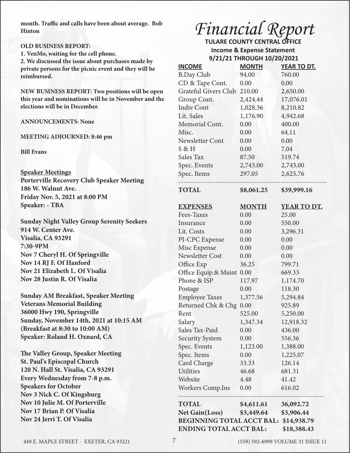**month. Traffic and calls have been about average. Bob Hinton**

### **OLD BUSINESS REPORT:**

**1. VenMo, waiting for the cell phone.**

**2. We discussed the issue about purchases made by private persons for the picnic event and they will be reimbursed.**

**NEW BUSINESS REPORT: Two positions will be open this year and nominations will be in November and the elections will be in December.**

### **ANNOUNCEMENTS: None**

#### **MEETING ADJOURNED: 8:46 pm**

**Bill Evans**

**Speaker Meetings Porterville Recovery Club Speaker Meeting 186 W. Walnut Ave. Friday Nov. 5, 2021 at 8:00 PM Speaker: - TBA**

**Sunday Night Valley Group Serenity Seekers 914 W. Center Ave. Visalia, CA 93291 7:30-9PM Nov 7 Cheryl H. Of Springville Nov 14 RJ F. Of Hanford Nov 21 Elizabeth L. Of Visalia Nov 28 Justin R. Of Visalia** 

**Sunday AM Breakfast, Speaker Meeting Veterans Memorial Building 36000 Hwy 190, Springville Sunday, November 14th, 2021 at 10:15 AM (Breakfast at 8:30 to 10:00 AM) Speaker: Roland H. Oxnard, CA**

**The Valley Group, Speaker Meeting St. Paul's Episcopal Church 120 N. Hall St. Visalia, CA 93291 Every Wednesday from 7-8 p.m. Speakers for October Nov 3 Nick C. Of Kingsburg Nov 10 Julie M. Of Porterville Nov 17 Brian P. Of Visalia Nov 24 Jerri T. Of Visalia** 

## *Financial Report*

 **TULARE COUNTY CENTRAL OFFICE Income & Expense Statement 9/21/21 THROUGH 10/20/2021**

| <b>INCOME</b>                                | <b>MONTH</b> | <b>YEAR TO DT.</b> |  |
|----------------------------------------------|--------------|--------------------|--|
| <b>B.Day Club</b>                            | 94.00        | 760.00             |  |
| CD & Tape Cont.                              | 0.00         | 0.00               |  |
| Grateful Givers Club                         | 210.00       | 2,650.00           |  |
| Group Cont.                                  | 2,424.44     | 17,076.01          |  |
| <b>Indiv Cont</b>                            | 1,028.36     | 8,210.82           |  |
| Lit. Sales                                   | 1,176.90     | 4,942.68           |  |
| Memorial Cont.                               | 0.00         | 400.00             |  |
| Misc.                                        | 0.00         | 64.11              |  |
| Newsletter Cont                              | 0.00         | 0.00               |  |
| S & H                                        | 0.00         | 7.04               |  |
| Sales Tax                                    | 87.50        | 519.74             |  |
| Spec. Events                                 | 2,743.00     | 2,743.00           |  |
| Spec. Items                                  | 297.05       | 2,625.76           |  |
| <b>TOTAL</b>                                 | \$8,061.25   | \$39,999.16        |  |
| <b>EXPENSES</b>                              | <b>MONTH</b> | YEAR TO DT.        |  |
| Fees-Taxes                                   | 0.00         | 25.00              |  |
| Insurance                                    | 0.00         | 550.00             |  |
| Lit. Costs                                   | 0.00         | 3,296.31           |  |
| PI-CPC Expense                               | 0.00         | 0.00               |  |
| Misc Expense                                 | 0.00         | 0.00               |  |
| Newsletter Cost                              | 0.00         | 0.00               |  |
| Office Exp                                   | 36.25        | 799.71             |  |
| Office Equip.& Maint 0.00                    |              | 669.33             |  |
| Phone & ISP                                  | 117.97       | 1,174.70           |  |
| Postage                                      | 0.00         | 118.30             |  |
| <b>Employee Taxes</b>                        | 1,377.56     | 5,294.84           |  |
| Returned Chk & Chg                           | 0.00         | 925.89             |  |
| Rent                                         | 525.00       | 5,250.00           |  |
| Salary                                       | 1,347.34     | 12,918.32          |  |
| Sales Tax-Paid                               | 0.00         | 436.00             |  |
| <b>Security System</b>                       | 0.00         | 556.36             |  |
| Spec. Events                                 | 1,123.00     | 1,388.00           |  |
| Spec. Items                                  | 0.00         | 1,225.07           |  |
| Card Charge                                  | 33.33        | 126.14             |  |
| <b>Utilities</b>                             | 46.68        | 681.31             |  |
| Website                                      | 4.48         | 41.42              |  |
| <b>Workers Comp.Ins</b>                      | 0.00         | 616.02             |  |
| <b>TOTAL</b>                                 | \$4,611.61   | 36,092.72          |  |
| Net Gain(Loss) \$3,449.64                    |              | \$3,906.44         |  |
| BEGINNING TOTAL ACCT BAL: \$14,938.79        |              |                    |  |
| <b>ENDING TOTAL ACCT BAL:</b><br>\$18,388.43 |              |                    |  |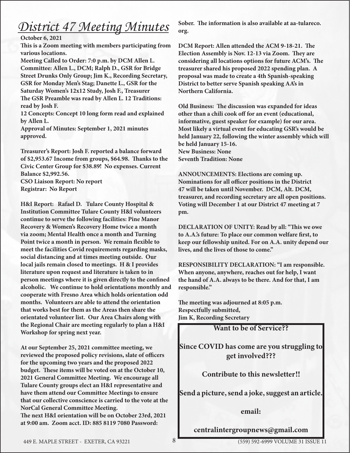## *District 47 Meeting Minutes*

### **October 6, 2021**

**This is a Zoom meeting with members participating from various locations.**

**Meeting Called to Order: 7:0 p.m. by DCM Allen L. Committee: Allen L., DCM; Ralph D., GSR for Bridge Street Drunks Only Group; Jim K., Recording Secretary, GSR for Monday Men's Stag; Danette L., GSR for the Saturday Women's 12x12 Study, Josh F., Treasurer The GSR Preamble was read by Allen L. 12 Traditions: read by Josh F.** 

**12 Concepts: Concept 10 long form read and explained by Allen L.** 

**Approval of Minutes: September 1, 2021 minutes approved.**

**Treasurer's Report: Josh F. reported a balance forward of \$2,953.67 Income from groups, \$64.98. Thanks to the Civic Center Group for \$38.89! No expenses. Current Balance \$2,992.56.** 

**CSO Liaison Report: No report Registrar: No Report**

**H&I Report: Rafael D. Tulare County Hospital & Institution Committee Tulare County H&I volunteers continue to serve the following facilities: Pine Manor Recovery & Women's Recovery Home twice a month via zoom; Mental Health once a month and Turning Point twice a month in person. We remain flexible to meet the facilities Covid requirements regarding masks, social distancing and at times meeting outside. Our local jails remain closed to meetings. H & I provides literature upon request and literature is taken to in person meetings where it is given directly to the confined alcoholic. We continue to hold orientations monthly and cooperate with Fresno Area which holds orientation odd months. Volunteers are able to attend the orientation that works best for them as the Areas then share the orientated volunteer list. Our Area Chairs along with the Regional Chair are meeting regularly to plan a H&I Workshop for spring next year.** 

**At our September 25, 2021 committee meeting, we reviewed the proposed policy revisions, slate of officers for the upcoming two years and the proposed 2022 budget. These items will be voted on at the October 10, 2021 General Committee Meeting. We encourage all Tulare County groups elect an H&I representative and have them attend our Committee Meetings to ensure that our collective conscience is carried to the vote at the NorCal General Committee Meeting. The next H&I orientation will be on October 23rd, 2021 at 9:00 am. Zoom acct. ID: 885 8119 7080 Password:** 

**Sober. The information is also available at aa-tulareco. org.** 

**DCM Report: Allen attended the ACM 9-18-21. The Election Assembly is Nov. 12-13 via Zoom. They are considering all locations options for future ACM's. The treasurer shared his proposed 2022 spending plan. A proposal was made to create a 4th Spanish-speaking District to better serve Spanish speaking AA's in Northern California.** 

**Old Business: The discussion was expanded for ideas other than a chili cook off for an event (educational, informative, guest speaker for example) for our area. Most likely a virtual event for educating GSR's would be held January 22, following the winter assembly which will be held January 15-16. New Business: None Seventh Tradition: None**

**ANNOUNCEMENTS: Elections are coming up. Nominations for all officer positions in the District 47 will be taken until November. DCM, Alt. DCM, treasurer, and recording secretary are all open positions. Voting will December 1 at our District 47 meeting at 7 pm.**

**DECLARATION OF UNITY: Read by all: "This we owe to A.A.'s future: To place our common welfare first, to keep our fellowship united. For on A.A. unity depend our lives, and the lives of those to come."**

**RESPONSIBILITY DECLARATION: "I am responsible. When anyone, anywhere, reaches out for help, I want the hand of A.A. always to be there. And for that, I am responsible."**

**The meeting was adjourned at 8:05 p.m. Respectfully submitted, Jim K, Recording Secretary** 

Want to be of Service??

Since COVID has come are you struggling to get involved???

Contribute to this newsletter!!

Send a picture, send a joke, suggest an article.

email:

centralintergroupnews@gmail.com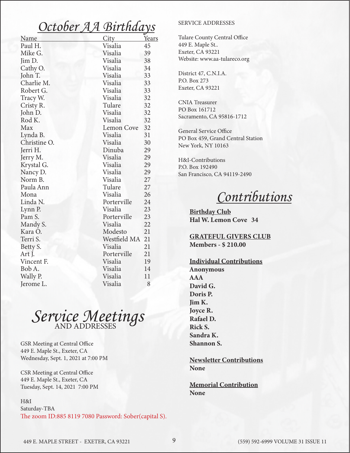### *October AA Birthdays*

| <b>Name</b>  | <b>City</b>        | <u>Years</u> |
|--------------|--------------------|--------------|
| Paul H.      | Visalia            | 45           |
| Mike G.      | Visalia            | 39           |
| Jim D.       | Visalia            | 38           |
| Cathy O.     | Visalia            | 34           |
| John T.      | Visalia            | 33           |
| Charlie M.   | Visalia            | 33           |
| Robert G.    | Visalia            | 33           |
| Tracy W.     | Visalia            | 32           |
| Cristy R.    | Tulare             | 32           |
| John D.      | Visalia            | 32           |
| Rod K.       | Visalia            | 32           |
| Max          | <b>Lemon Cove</b>  | 32           |
| Lynda B.     | Visalia            | 31           |
| Christine O. | Visalia            | 30           |
| Jerri H.     | Dinuba             | 29           |
| Jerry M.     | Visalia            | 29           |
| Krystal G.   | Visalia            | 29           |
| Nancy D.     | Visalia            | 29           |
| Norm B.      | Visalia            | 27           |
| Paula Ann    | Tulare             | 27           |
| Mona         | Visalia            | 26           |
| Linda N.     | Porterville        | 24           |
| Lynn P.      | Visalia            | 23           |
| Pam S.       | Porterville        | 23           |
| Mandy S.     | Visalia            | 22           |
| Kara O.      | Modesto<br>21      |              |
| Terri S.     | Westfield MA<br>21 |              |
| Betty S.     | Visalia<br>21      |              |
| Art J.       | Porterville        | 21           |
| Vincent F.   | Visalia            | 19           |
| Bob A.       | Visalia            | 14           |
| Wally P.     | Visalia            | 11           |
| Jerome L.    | Visalia            | 8            |



GSR Meeting at Central Office 449 E. Maple St., Exeter, CA Wednesday, Sept. 1, 2021 at 7:00 PM

CSR Meeting at Central Office 449 E. Maple St., Exeter, CA Tuesday, Sept. 14, 2021 7:00 PM

H&I

Saturday-TBA The zoom ID:885 8119 7080 Password: Sober(capital S).

### SERVICE ADDRESSES

Tulare County Central Office 449 E. Maple St.. Exeter, CA 93221 Website: www.aa-tulareco.org

District 47, C.N.I.A. P.O. Box 273 Exeter, CA 93221

CNIA Treasurer PO Box 161712 Sacramento, CA 95816-1712

General Service Office PO Box 459, Grand Central Station New York, NY 10163

H&I-Contributions P.O. Box 192490 San Francisco, CA 94119-2490

*Contributions*

Birthday Club Hal W. Lemon Cove 34

GRATEFUL GIVERS CLUB Members - \$ 210.00

Individual Contributions Anonymous AAA David G. Doris P. Jim K. Joyce R. Rafael D. Rick S. Sandra K. Shannon S.

Newsletter Contributions None

Memorial Contribution None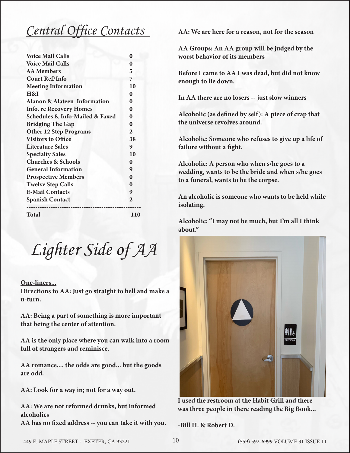## *Central Office Contacts*

| <b>Voice Mail Calls</b>                        | 0              |
|------------------------------------------------|----------------|
| <b>Voice Mail Calls</b>                        | 0              |
| <b>AA</b> Members                              | 5              |
| <b>Court Ref/Info</b>                          | 7              |
| <b>Meeting Information</b>                     | 10             |
| H&I                                            | $\bf{0}$       |
| <b>Alanon &amp; Alateen Information</b>        | $\bf{0}$       |
| <b>Info. re Recovery Homes</b>                 | $\bf{0}$       |
| <b>Schedules &amp; Info-Mailed &amp; Faxed</b> | 0              |
| <b>Bridging The Gap</b>                        | $\bf{0}$       |
| <b>Other 12 Step Programs</b>                  | $\overline{2}$ |
| <b>Visitors to Office</b>                      | 38             |
| <b>Literature Sales</b>                        | 9              |
| <b>Specialty Sales</b>                         | 10             |
| <b>Churches &amp; Schools</b>                  | $\bf{0}$       |
| <b>General Information</b>                     | 9              |
| <b>Prospective Members</b>                     | $\mathbf{0}$   |
| <b>Twelve Step Calls</b>                       | $\mathbf{0}$   |
| <b>E-Mail Contacts</b>                         | 9              |
| <b>Spanish Contact</b>                         | $\overline{2}$ |
| Total                                          | 110            |

*Lighter Side of AA*

### **One-liners...**

**Directions to AA: Just go straight to hell and make a u-turn.**

**AA: Being a part of something is more important that being the center of attention.**

**AA is the only place where you can walk into a room full of strangers and reminisce.**

**AA romance.... the odds are good... but the goods are odd.**

**AA: Look for a way in; not for a way out.**

**AA: We are not reformed drunks, but informed alcoholics**

**AA has no fixed address -- you can take it with you.**

**AA: We are here for a reason, not for the season**

**AA Groups: An AA group will be judged by the worst behavior of its members**

**Before I came to AA I was dead, but did not know enough to lie down.**

**In AA there are no losers -- just slow winners**

**Alcoholic (as defined by self): A piece of crap that the universe revolves around.**

**Alcoholic: Someone who refuses to give up a life of failure without a fight.**

**Alcoholic: A person who when s/he goes to a wedding, wants to be the bride and when s/he goes to a funeral, wants to be the corpse.**

**An alcoholic is someone who wants to be held while isolating.**

**Alcoholic: "I may not be much, but I'm all I think about."**



**I used the restroom at the Habit Grill and there was three people in there reading the Big Book...**

**-Bill H. & Robert D.**

449 E. MAPLE STREET - EXETER, CA 93221 (559) 592-6999 VOLUME 31 ISSUE 11 10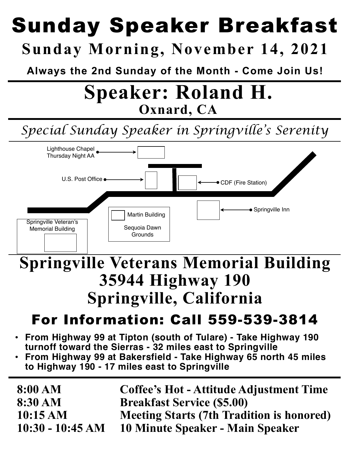## Sunday Speaker Breakfast **Sunday Morning, November 14, 2021**

**Always the 2nd Sunday of the Month - Come Join Us!**

## **Speaker: Roland H. Oxnard, CA**

## *Special Sunday Speaker in Springville's Serenity*



## **Springville Veterans Memorial Building 35944 Highway 190 Springville, California**

## For Information: Call 559-539-3814

- **• From Highway 99 at Tipton (south of Tulare) Take Highway 190 turnoff toward the Sierras - 32 miles east to Springville**
- **• From Highway 99 at Bakersfield Take Highway 65 north 45 miles to Highway 190 - 17 miles east to Springville**

| 8:00 AM            | <b>Coffee's Hot - Attitude Adjustment Time</b>   |
|--------------------|--------------------------------------------------|
| $8:30 \text{ AM}$  | <b>Breakfast Service (\$5.00)</b>                |
| 10:15 AM           | <b>Meeting Starts (7th Tradition is honored)</b> |
| $10:30 - 10:45 AM$ | 10 Minute Speaker - Main Speaker                 |